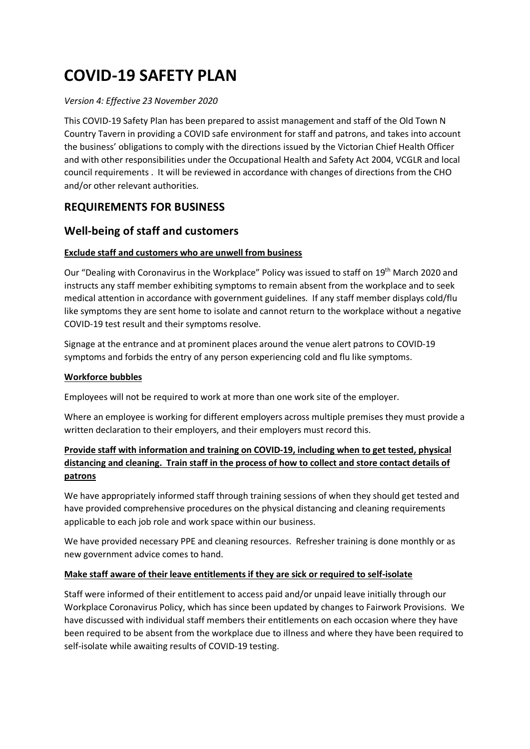# **COVID-19 SAFETY PLAN**

## *Version 4: Effective 23 November 2020*

This COVID-19 Safety Plan has been prepared to assist management and staff of the Old Town N Country Tavern in providing a COVID safe environment for staff and patrons, and takes into account the business' obligations to comply with the directions issued by the Victorian Chief Health Officer and with other responsibilities under the Occupational Health and Safety Act 2004, VCGLR and local council requirements . It will be reviewed in accordance with changes of directions from the CHO and/or other relevant authorities.

# **REQUIREMENTS FOR BUSINESS**

# **Well-being of staff and customers**

# **Exclude staff and customers who are unwell from business**

Our "Dealing with Coronavirus in the Workplace" Policy was issued to staff on 19<sup>th</sup> March 2020 and instructs any staff member exhibiting symptoms to remain absent from the workplace and to seek medical attention in accordance with government guidelines. If any staff member displays cold/flu like symptoms they are sent home to isolate and cannot return to the workplace without a negative COVID-19 test result and their symptoms resolve.

Signage at the entrance and at prominent places around the venue alert patrons to COVID-19 symptoms and forbids the entry of any person experiencing cold and flu like symptoms.

## **Workforce bubbles**

Employees will not be required to work at more than one work site of the employer.

Where an employee is working for different employers across multiple premises they must provide a written declaration to their employers, and their employers must record this.

# **Provide staff with information and training on COVID-19, including when to get tested, physical distancing and cleaning. Train staff in the process of how to collect and store contact details of patrons**

We have appropriately informed staff through training sessions of when they should get tested and have provided comprehensive procedures on the physical distancing and cleaning requirements applicable to each job role and work space within our business.

We have provided necessary PPE and cleaning resources. Refresher training is done monthly or as new government advice comes to hand.

## **Make staff aware of their leave entitlements if they are sick or required to self-isolate**

Staff were informed of their entitlement to access paid and/or unpaid leave initially through our Workplace Coronavirus Policy, which has since been updated by changes to Fairwork Provisions. We have discussed with individual staff members their entitlements on each occasion where they have been required to be absent from the workplace due to illness and where they have been required to self-isolate while awaiting results of COVID-19 testing.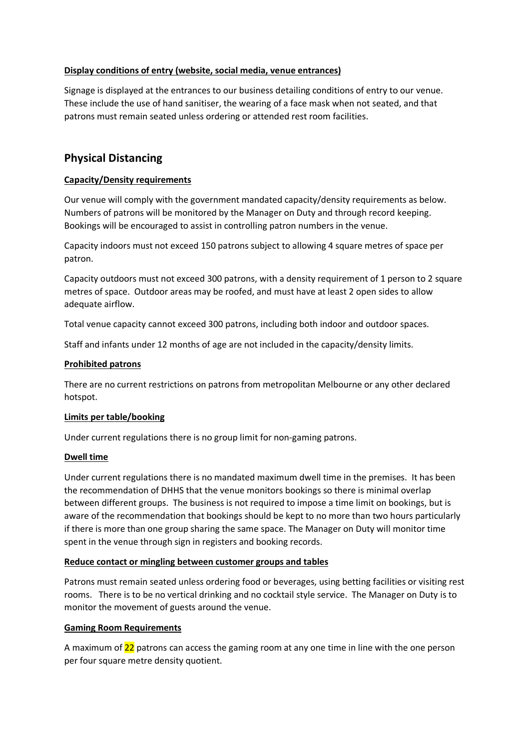#### **Display conditions of entry (website, social media, venue entrances)**

Signage is displayed at the entrances to our business detailing conditions of entry to our venue. These include the use of hand sanitiser, the wearing of a face mask when not seated, and that patrons must remain seated unless ordering or attended rest room facilities.

# **Physical Distancing**

#### **Capacity/Density requirements**

Our venue will comply with the government mandated capacity/density requirements as below. Numbers of patrons will be monitored by the Manager on Duty and through record keeping. Bookings will be encouraged to assist in controlling patron numbers in the venue.

Capacity indoors must not exceed 150 patrons subject to allowing 4 square metres of space per patron.

Capacity outdoors must not exceed 300 patrons, with a density requirement of 1 person to 2 square metres of space. Outdoor areas may be roofed, and must have at least 2 open sides to allow adequate airflow.

Total venue capacity cannot exceed 300 patrons, including both indoor and outdoor spaces.

Staff and infants under 12 months of age are not included in the capacity/density limits.

#### **Prohibited patrons**

There are no current restrictions on patrons from metropolitan Melbourne or any other declared hotspot.

#### **Limits per table/booking**

Under current regulations there is no group limit for non-gaming patrons.

#### **Dwell time**

Under current regulations there is no mandated maximum dwell time in the premises. It has been the recommendation of DHHS that the venue monitors bookings so there is minimal overlap between different groups. The business is not required to impose a time limit on bookings, but is aware of the recommendation that bookings should be kept to no more than two hours particularly if there is more than one group sharing the same space. The Manager on Duty will monitor time spent in the venue through sign in registers and booking records.

#### **Reduce contact or mingling between customer groups and tables**

Patrons must remain seated unless ordering food or beverages, using betting facilities or visiting rest rooms. There is to be no vertical drinking and no cocktail style service. The Manager on Duty is to monitor the movement of guests around the venue.

#### **Gaming Room Requirements**

A maximum of 22 patrons can access the gaming room at any one time in line with the one person per four square metre density quotient.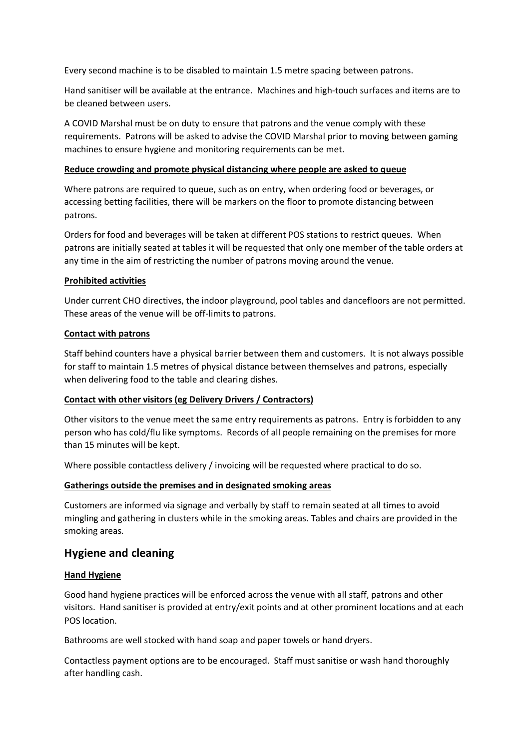Every second machine is to be disabled to maintain 1.5 metre spacing between patrons.

Hand sanitiser will be available at the entrance. Machines and high-touch surfaces and items are to be cleaned between users.

A COVID Marshal must be on duty to ensure that patrons and the venue comply with these requirements. Patrons will be asked to advise the COVID Marshal prior to moving between gaming machines to ensure hygiene and monitoring requirements can be met.

#### **Reduce crowding and promote physical distancing where people are asked to queue**

Where patrons are required to queue, such as on entry, when ordering food or beverages, or accessing betting facilities, there will be markers on the floor to promote distancing between patrons.

Orders for food and beverages will be taken at different POS stations to restrict queues. When patrons are initially seated at tables it will be requested that only one member of the table orders at any time in the aim of restricting the number of patrons moving around the venue.

#### **Prohibited activities**

Under current CHO directives, the indoor playground, pool tables and dancefloors are not permitted. These areas of the venue will be off-limits to patrons.

#### **Contact with patrons**

Staff behind counters have a physical barrier between them and customers. It is not always possible for staff to maintain 1.5 metres of physical distance between themselves and patrons, especially when delivering food to the table and clearing dishes.

## **Contact with other visitors (eg Delivery Drivers / Contractors)**

Other visitors to the venue meet the same entry requirements as patrons. Entry is forbidden to any person who has cold/flu like symptoms. Records of all people remaining on the premises for more than 15 minutes will be kept.

Where possible contactless delivery / invoicing will be requested where practical to do so.

#### **Gatherings outside the premises and in designated smoking areas**

Customers are informed via signage and verbally by staff to remain seated at all times to avoid mingling and gathering in clusters while in the smoking areas. Tables and chairs are provided in the smoking areas.

# **Hygiene and cleaning**

## **Hand Hygiene**

Good hand hygiene practices will be enforced across the venue with all staff, patrons and other visitors. Hand sanitiser is provided at entry/exit points and at other prominent locations and at each POS location.

Bathrooms are well stocked with hand soap and paper towels or hand dryers.

Contactless payment options are to be encouraged. Staff must sanitise or wash hand thoroughly after handling cash.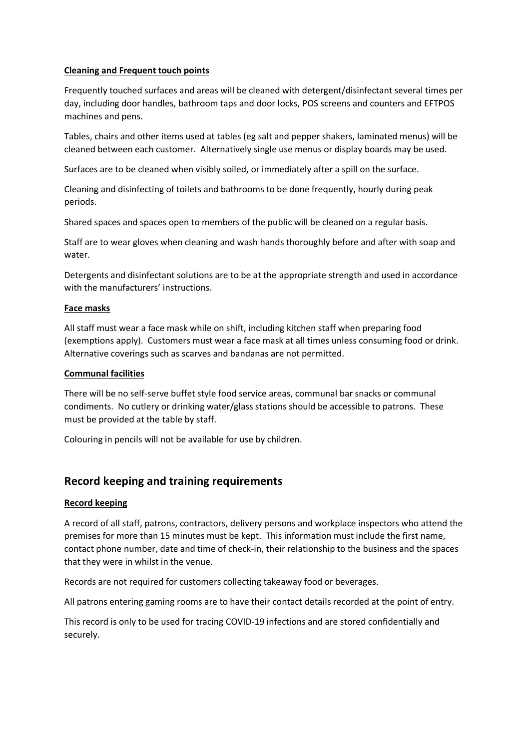#### **Cleaning and Frequent touch points**

Frequently touched surfaces and areas will be cleaned with detergent/disinfectant several times per day, including door handles, bathroom taps and door locks, POS screens and counters and EFTPOS machines and pens.

Tables, chairs and other items used at tables (eg salt and pepper shakers, laminated menus) will be cleaned between each customer. Alternatively single use menus or display boards may be used.

Surfaces are to be cleaned when visibly soiled, or immediately after a spill on the surface.

Cleaning and disinfecting of toilets and bathrooms to be done frequently, hourly during peak periods.

Shared spaces and spaces open to members of the public will be cleaned on a regular basis.

Staff are to wear gloves when cleaning and wash hands thoroughly before and after with soap and water.

Detergents and disinfectant solutions are to be at the appropriate strength and used in accordance with the manufacturers' instructions.

#### **Face masks**

All staff must wear a face mask while on shift, including kitchen staff when preparing food (exemptions apply). Customers must wear a face mask at all times unless consuming food or drink. Alternative coverings such as scarves and bandanas are not permitted.

#### **Communal facilities**

There will be no self-serve buffet style food service areas, communal bar snacks or communal condiments. No cutlery or drinking water/glass stations should be accessible to patrons. These must be provided at the table by staff.

Colouring in pencils will not be available for use by children.

# **Record keeping and training requirements**

## **Record keeping**

A record of all staff, patrons, contractors, delivery persons and workplace inspectors who attend the premises for more than 15 minutes must be kept. This information must include the first name, contact phone number, date and time of check-in, their relationship to the business and the spaces that they were in whilst in the venue.

Records are not required for customers collecting takeaway food or beverages.

All patrons entering gaming rooms are to have their contact details recorded at the point of entry.

This record is only to be used for tracing COVID-19 infections and are stored confidentially and securely.